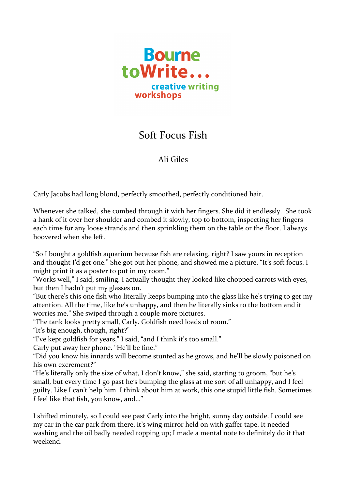

## Soft Focus Fish

## Ali Giles

Carly Jacobs had long blond, perfectly smoothed, perfectly conditioned hair.

Whenever she talked, she combed through it with her fingers. She did it endlessly. She took a hank of it over her shoulder and combed it slowly, top to bottom, inspecting her fingers each time for any loose strands and then sprinkling them on the table or the floor. I always hoovered when she left.

"So I bought a goldfish aquarium because fish are relaxing, right? I saw yours in reception and thought I'd get one." She got out her phone, and showed me a picture. "It's soft focus. I might print it as a poster to put in my room."

"Works well," I said, smiling. I actually thought they looked like chopped carrots with eyes, but then I hadn't put my glasses on.

"But there's this one fish who literally keeps bumping into the glass like he's trying to get my attention. All the time, like he's unhappy, and then he literally sinks to the bottom and it worries me." She swiped through a couple more pictures.

"The tank looks pretty small, Carly. Goldfish need loads of room."

"It's big enough, though, right?"

"I've kept goldfish for years," I said, "and I think it's too small."

Carly put away her phone. "He'll be fine."

"Did you know his innards will become stunted as he grows, and he'll be slowly poisoned on his own excrement?"

"He's literally only the size of what, I don't know," she said, starting to groom, "but he's small, but every time I go past he's bumping the glass at me sort of all unhappy, and I feel guilty. Like I can't help him. I think about him at work, this one stupid little fish. Sometimes *I* feel like that fish, you know, and..."

I shifted minutely, so I could see past Carly into the bright, sunny day outside. I could see my car in the car park from there, it's wing mirror held on with gaffer tape. It needed washing and the oil badly needed topping up; I made a mental note to definitely do it that weekend.